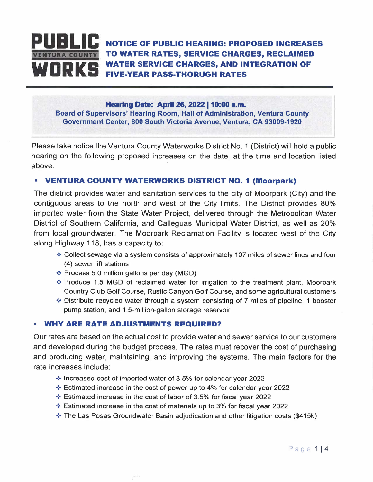

### **Hearing Date: April 26, 2022 | 10:00 a.m.**

**Board of Supervisors' Hearing Room, Hall of Administration, Ventura County Government Center, 800 South Victoria Avenue, Ventura, CA 93009-1920** 

Please take notice the Ventura County Waterworks District No. 1 (District) will hold a public hearing on the following proposed increases on the date, at the time and location listed above.

### **• VENTURA COUNTY WATERWORKS DISTRICT NO. 1 (Moorpark)**

The district provides water and sanitation services to the city of Moorpark (City) and the contiguous areas to the north and west of the City limits. The District provides 80% imported water from the State Water Project, delivered through the Metropolitan Water District of Southern California, and Calleguas Municipal Water District, as well as 20% from local groundwater. The Moorpark Reclamation Facility is located west of the City along Highway 118, has a capacity to:

- ❖ Collect sewage via a system consists of approximately 107 miles of sewer lines and four (4) sewer lift stations
- ❖ Process 5.0 million gallons per day (MGD)
- ❖ Produce 1.5 MGD of reclaimed water for irrigation to the treatment plant, Moorpark Country Club Golf Course, Rustic Canyon Golf Course, and some agricultural customers
- ❖ Distribute recycled water through a system consisting of 7 miles of pipeline, 1 booster pump station, and 1.5-million-gallon storage reservoir

## **• WHY ARE RATE ADJUSTMENTS REQUIRED?**

 $\ddot{\phantom{a}}$ 

Our rates are based on the actual cost to provide water and sewer service to our customers and developed during the budget process. The rates must recover the cost of purchasing and producing water, maintaining, and improving the systems. The main factors for the rate increases include:

- ❖ Increased cost of imported water of 3.5% for calendar year 2022
- ❖ Estimated increase in the cost of power up to 4% for calendar year 2022
- ❖ Estimated increase in the cost of labor of 3.5% for fiscal year 2022
- ❖ Estimated increase in the cost of materials up to 3% for fiscal year 2022
- ❖ The Las Posas Groundwater Basin adjudication and other litigation costs (\$415k)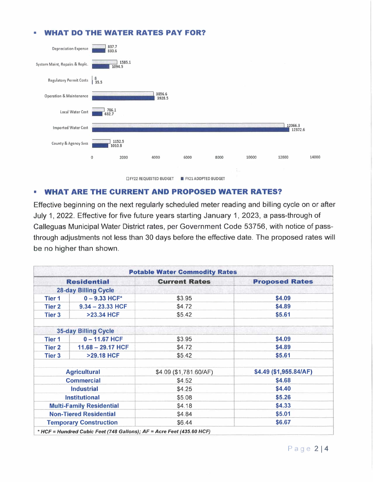# **• WHAT DO THE WATER RATES PAY FOR?**



# **• WHAT ARE THE CURRENT AND PROPOSED WATER RATES?**

Effective beginning on the next regularly scheduled meter reading and billing cycle on or after July 1, 2022. Effective for five future years starting January 1, 2023, a pass-through of Calleguas Municipal Water District rates, per Government Code 53756, with notice of passthrough adjustments not less than 30 days before the effective date. The proposed rates will be no higher than shown.

|                                                   |                             | <b>Potable Water Commodity Rates</b> |                        |
|---------------------------------------------------|-----------------------------|--------------------------------------|------------------------|
| <b>Residential</b><br><b>28-day Billing Cycle</b> |                             | <b>Current Rates</b>                 | <b>Proposed Rates</b>  |
|                                                   |                             |                                      |                        |
| <b>Tier 2</b>                                     | $9.34 - 23.33$ HCF          | \$4.72                               | \$4.89                 |
| <b>Tier 3</b>                                     | >23.34 HCF                  | \$5.42                               | \$5.61                 |
|                                                   | <b>35-day Billing Cycle</b> |                                      |                        |
| <b>Tier 1</b>                                     | $0 - 11.67$ HCF             | \$3.95                               | \$4.09                 |
| <b>Tier 2</b>                                     | $11.68 - 29.17$ HCF         | \$4.72                               | \$4.89                 |
| <b>Tier 3</b>                                     | <b>&gt;29.18 HCF</b>        | \$5.42                               | \$5.61                 |
| <b>Agricultural</b>                               |                             | \$4.09 (\$1,781.60/AF)               | \$4.49 (\$1,955.84/AF) |
| <b>Commercial</b>                                 |                             | \$4.52                               | \$4.68                 |
| w<br><b>Industrial</b>                            |                             | \$4.25                               | \$4.40                 |
| <b>Institutional</b>                              |                             | \$5.08                               | \$5.26                 |
| <b>Multi-Family Residential</b>                   |                             | \$4.18                               | \$4.33                 |
| <b>Non-Tiered Residential</b>                     |                             | \$4.84                               | \$5.01                 |
| <b>Temporary Construction</b>                     |                             | \$6.44                               | \$6.67                 |

Page 214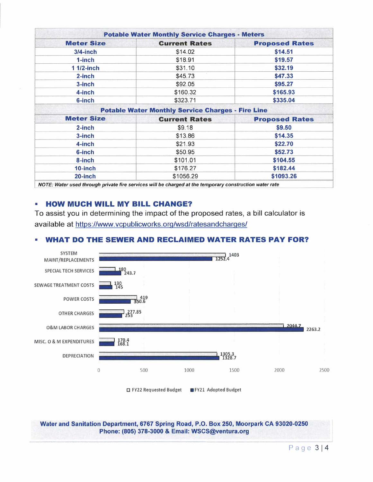|                   | <b>Potable Water Monthly Service Charges - Meters</b>    |                       |
|-------------------|----------------------------------------------------------|-----------------------|
| <b>Meter Size</b> | <b>Current Rates</b>                                     | <b>Proposed Rates</b> |
| $3/4$ -inch       | \$14.02                                                  | \$14.51               |
| 1-inch            | \$18.91                                                  | \$19.57               |
| 1 1/2-inch        | \$31.10                                                  | \$32.19               |
| $2$ -inch         | \$45.73                                                  | \$47.33               |
| 3-inch            | \$92.05                                                  | \$95.27               |
| 4-inch            | \$160.32                                                 | \$165.93              |
| 6-inch            | \$323.71                                                 | \$335.04              |
|                   | <b>Potable Water Monthly Service Charges - Fire Line</b> |                       |
| <b>Meter Size</b> | <b>Current Rates</b>                                     | <b>Proposed Rates</b> |
| 2-inch            | \$9.18                                                   | \$9.50                |
| 3-inch            | \$13.86                                                  | \$14.35               |
| 4-inch            | \$21.93                                                  | \$22.70               |
| 6-inch            | \$50.95                                                  | \$52.73               |
| 8-inch            | \$101.01                                                 | \$104.55              |
| 10-inch           | \$176.27                                                 | \$182.44              |
| $20$ -inch        | \$1056.29                                                | \$1093.26             |

*NOTE: Water used through private fire services will be charged at the temporary construction water rate* 

## **• HOW MUCH WILL MY BILL CHANGE?**

To assist you in determining the impact of the proposed rates, a bill calculator is available at https://www.vcpublicworks.org/wsd/ratesandcharges/



D FY22 Requested Budget ■ FY21 Adopted Budget

**Water and Sanitation Department, 6767 Spring Road, P.O. Box 250, Moorpark CA 93020-0250 Phone: (805) 378-3000** & **Email: WSCS@ventura.org**